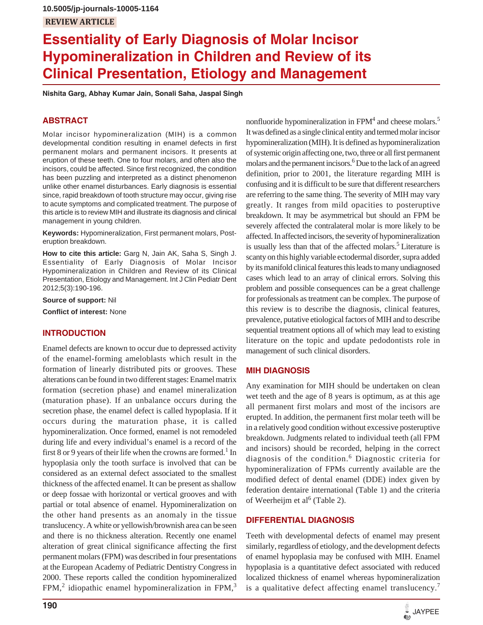# **Essentiality of Early Diagnosis of Molar Incisor Hypomineralization in Children and Review of its Clinical Presentation, Etiology and Management**

**Nishita Garg, Abhay Kumar Jain, Sonali Saha, Jaspal Singh**

### **ABSTRACT**

Molar incisor hypomineralization (MIH) is a common developmental condition resulting in enamel defects in first permanent molars and permanent incisors. It presents at eruption of these teeth. One to four molars, and often also the incisors, could be affected. Since first recognized, the condition has been puzzling and interpreted as a distinct phenomenon unlike other enamel disturbances. Early diagnosis is essential since, rapid breakdown of tooth structure may occur, giving rise to acute symptoms and complicated treatment. The purpose of this article is to review MIH and illustrate its diagnosis and clinical management in young children.

**Keywords:** Hypomineralization, First permanent molars, Posteruption breakdown.

**How to cite this article:** Garg N, Jain AK, Saha S, Singh J. Essentiality of Early Diagnosis of Molar Incisor Hypomineralization in Children and Review of its Clinical Presentation, Etiology and Management. Int J Clin Pediatr Dent 2012;5(3):190-196.

**Source of support:** Nil

**Conflict of interest:** None

#### **INTRODUCTION**

Enamel defects are known to occur due to depressed activity of the enamel-forming ameloblasts which result in the formation of linearly distributed pits or grooves. These alterations can be found in two different stages: Enamel matrix formation (secretion phase) and enamel mineralization (maturation phase). If an unbalance occurs during the secretion phase, the enamel defect is called hypoplasia. If it occurs during the maturation phase, it is called hypomineralization. Once formed, enamel is not remodeled during life and every individual's enamel is a record of the first 8 or 9 years of their life when the crowns are formed.<sup>1</sup> In hypoplasia only the tooth surface is involved that can be considered as an external defect associated to the smallest thickness of the affected enamel. It can be present as shallow or deep fossae with horizontal or vertical grooves and with partial or total absence of enamel. Hypomineralization on the other hand presents as an anomaly in the tissue translucency. A white or yellowish/brownish area can be seen and there is no thickness alteration. Recently one enamel alteration of great clinical significance affecting the first permanent molars (FPM) was described in four presentations at the European Academy of Pediatric Dentistry Congress in 2000. These reports called the condition hypomineralized  $FPM<sup>2</sup>$  idiopathic enamel hypomineralization in  $FPM<sup>3</sup>$ 

nonfluoride hypomineralization in FPM<sup>4</sup> and cheese molars.<sup>5</sup> It was defined as a single clinical entity and termed molar incisor hypomineralization (MIH). It is defined as hypomineralization of systemic origin affecting one, two, three or all first permanent molars and the permanent incisors.<sup>6</sup> Due to the lack of an agreed definition, prior to 2001, the literature regarding MIH is confusing and it is difficult to be sure that different researchers are referring to the same thing. The severity of MIH may vary greatly. It ranges from mild opacities to posteruptive breakdown. It may be asymmetrical but should an FPM be severely affected the contralateral molar is more likely to be affected. In affected incisors, the severity of hypomineralization is usually less than that of the affected molars.<sup>5</sup> Literature is scanty on this highly variable ectodermal disorder, supra added by its manifold clinical features this leads to many undiagnosed cases which lead to an array of clinical errors. Solving this problem and possible consequences can be a great challenge for professionals as treatment can be complex. The purpose of this review is to describe the diagnosis, clinical features, prevalence, putative etiological factors of MIH and to describe sequential treatment options all of which may lead to existing literature on the topic and update pedodontists role in management of such clinical disorders.

#### **MIH DIAGNOSIS**

Any examination for MIH should be undertaken on clean wet teeth and the age of 8 years is optimum, as at this age all permanent first molars and most of the incisors are erupted. In addition, the permanent first molar teeth will be in a relatively good condition without excessive posteruptive breakdown. Judgments related to individual teeth (all FPM and incisors) should be recorded, helping in the correct diagnosis of the condition.<sup>6</sup> Diagnostic criteria for hypomineralization of FPMs currently available are the modified defect of dental enamel (DDE) index given by federation dentaire international (Table 1) and the criteria of Weerheijm et al<sup>6</sup> (Table 2).

#### **DIFFERENTIAL DIAGNOSIS**

Teeth with developmental defects of enamel may present similarly, regardless of etiology, and the development defects of enamel hypoplasia may be confused with MIH. Enamel hypoplasia is a quantitative defect associated with reduced localized thickness of enamel whereas hypomineralization is a qualitative defect affecting enamel translucency.<sup>7</sup>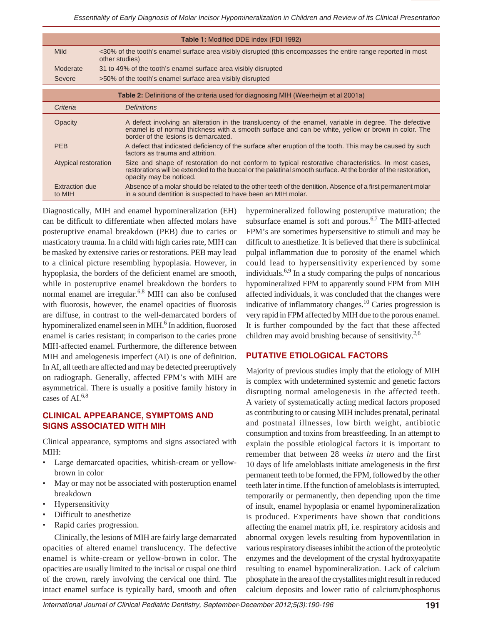| <b>Table 1: Modified DDE index (FDI 1992)</b> |                                                                                             |                |                                                                                                                                                                                                                                                      |  |  |
|-----------------------------------------------|---------------------------------------------------------------------------------------------|----------------|------------------------------------------------------------------------------------------------------------------------------------------------------------------------------------------------------------------------------------------------------|--|--|
|                                               | <b>Mild</b>                                                                                 | other studies) | <30% of the tooth's enamel surface area visibly disrupted (this encompasses the entire range reported in most                                                                                                                                        |  |  |
|                                               | Moderate                                                                                    |                | 31 to 49% of the tooth's enamel surface area visibly disrupted                                                                                                                                                                                       |  |  |
|                                               | Severe                                                                                      |                | >50% of the tooth's enamel surface area visibly disrupted                                                                                                                                                                                            |  |  |
|                                               | <b>Table 2:</b> Definitions of the criteria used for diagnosing MIH (Weerheijm et al 2001a) |                |                                                                                                                                                                                                                                                      |  |  |
|                                               | Criteria                                                                                    |                | <b>Definitions</b>                                                                                                                                                                                                                                   |  |  |
|                                               | <b>Opacity</b>                                                                              |                | A defect involving an alteration in the translucency of the enamel, variable in degree. The defective<br>enamel is of normal thickness with a smooth surface and can be white, yellow or brown in color. The<br>border of the lesions is demarcated. |  |  |
| <b>PEB</b>                                    |                                                                                             |                | A defect that indicated deficiency of the surface after eruption of the tooth. This may be caused by such<br>factors as trauma and attrition.                                                                                                        |  |  |
| Atypical restoration                          |                                                                                             |                | Size and shape of restoration do not conform to typical restorative characteristics. In most cases,<br>restorations will be extended to the buccal or the palatinal smooth surface. At the border of the restoration,<br>opacity may be noticed.     |  |  |
|                                               | <b>Extraction due</b><br>to MIH                                                             |                | Absence of a molar should be related to the other teeth of the dentition. Absence of a first permanent molar<br>in a sound dentition is suspected to have been an MIH molar.                                                                         |  |  |

Diagnostically, MIH and enamel hypomineralization (EH) can be difficult to differentiate when affected molars have posteruptive enamal breakdown (PEB) due to caries or masticatory trauma. In a child with high caries rate, MIH can be masked by extensive caries or restorations. PEB may lead to a clinical picture resembling hypoplasia. However, in hypoplasia, the borders of the deficient enamel are smooth, while in posteruptive enamel breakdown the borders to normal enamel are irregular.<sup>6,8</sup> MIH can also be confused with fluorosis, however, the enamel opacities of fluorosis are diffuse, in contrast to the well-demarcated borders of hypomineralized enamel seen in MIH.<sup>6</sup> In addition, fluorosed enamel is caries resistant; in comparison to the caries prone MIH-affected enamel. Furthermore, the difference between MIH and amelogenesis imperfect (AI) is one of definition. In AI, all teeth are affected and may be detected preeruptively on radiograph. Generally, affected FPM's with MIH are asymmetrical. There is usually a positive family history in cases of  $AI<sup>6,8</sup>$ 

#### **CLINICAL APPEARANCE, SYMPTOMS AND SIGNS ASSOCIATED WITH MIH**

Clinical appearance, symptoms and signs associated with MIH:

- Large demarcated opacities, whitish-cream or yellowbrown in color
- May or may not be associated with posteruption enamel breakdown
- Hypersensitivity
- Difficult to anesthetize
- Rapid caries progression.

Clinically, the lesions of MIH are fairly large demarcated opacities of altered enamel translucency. The defective enamel is white-cream or yellow-brown in color. The opacities are usually limited to the incisal or cuspal one third of the crown, rarely involving the cervical one third. The intact enamel surface is typically hard, smooth and often hypermineralized following posteruptive maturation; the subsurface enamel is soft and porous.<sup>6,7</sup> The MIH-affected FPM's are sometimes hypersensitive to stimuli and may be difficult to anesthetize. It is believed that there is subclinical pulpal inflammation due to porosity of the enamel which could lead to hypersensitivity experienced by some individuals.6,9 In a study comparing the pulps of noncarious hypomineralized FPM to apparently sound FPM from MIH affected individuals, it was concluded that the changes were indicative of inflammatory changes.<sup>10</sup> Caries progression is very rapid in FPM affected by MIH due to the porous enamel. It is further compounded by the fact that these affected children may avoid brushing because of sensitivity.<sup>2,6</sup>

## **PUTATIVE ETIOLOGICAL FACTORS**

Majority of previous studies imply that the etiology of MIH is complex with undetermined systemic and genetic factors disrupting normal amelogenesis in the affected teeth. A variety of systematically acting medical factors proposed as contributing to or causing MIH includes prenatal, perinatal and postnatal illnesses, low birth weight, antibiotic consumption and toxins from breastfeeding. In an attempt to explain the possible etiological factors it is important to remember that between 28 weeks *in utero* and the first 10 days of life ameloblasts initiate amelogenesis in the first permanent teeth to be formed, the FPM, followed by the other teeth later in time. If the function of ameloblasts is interrupted, temporarily or permanently, then depending upon the time of insult, enamel hypoplasia or enamel hypomineralization is produced. Experiments have shown that conditions affecting the enamel matrix pH, i.e. respiratory acidosis and abnormal oxygen levels resulting from hypoventilation in various respiratory diseases inhibit the action of the proteolytic enzymes and the development of the crystal hydroxyapatite resulting to enamel hypomineralization. Lack of calcium phosphate in the area of the crystallites might result in reduced calcium deposits and lower ratio of calcium/phosphorus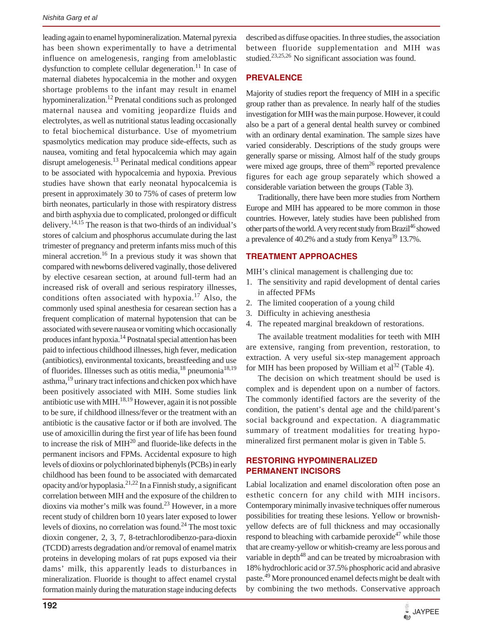leading again to enamel hypomineralization. Maternal pyrexia has been shown experimentally to have a detrimental influence on amelogenesis, ranging from ameloblastic dysfunction to complete cellular degeneration.<sup>11</sup> In case of maternal diabetes hypocalcemia in the mother and oxygen shortage problems to the infant may result in enamel hypomineralization.12 Prenatal conditions such as prolonged maternal nausea and vomiting jeopardize fluids and electrolytes, as well as nutritional status leading occasionally to fetal biochemical disturbance. Use of myometrium spasmolytics medication may produce side-effects, such as nausea, vomiting and fetal hypocalcemia which may again disrupt amelogenesis.13 Perinatal medical conditions appear to be associated with hypocalcemia and hypoxia. Previous studies have shown that early neonatal hypocalcemia is present in approximately 30 to 75% of cases of preterm low birth neonates, particularly in those with respiratory distress and birth asphyxia due to complicated, prolonged or difficult delivery.14,15 The reason is that two-thirds of an individual's stores of calcium and phosphorus accumulate during the last trimester of pregnancy and preterm infants miss much of this mineral accretion.16 In a previous study it was shown that compared with newborns delivered vaginally, those delivered by elective cesarean section, at around full-term had an increased risk of overall and serious respiratory illnesses, conditions often associated with hypoxia.<sup>17</sup> Also, the commonly used spinal anesthesia for cesarean section has a frequent complication of maternal hypotension that can be associated with severe nausea or vomiting which occasionally produces infant hypoxia.14 Postnatal special attention has been paid to infectious childhood illnesses, high fever, medication (antibiotics), environmental toxicants, breastfeeding and use of fluorides. Illnesses such as otitis media, $^{18}$  pneumonia $^{18,19}$ asthma,19 urinary tract infections and chicken pox which have been positively associated with MIH. Some studies link antibiotic use with MIH. $^{18,19}$  However, again it is not possible to be sure, if childhood illness/fever or the treatment with an antibiotic is the causative factor or if both are involved. The use of amoxicillin during the first year of life has been found to increase the risk of  $M I H^{20}$  and fluoride-like defects in the permanent incisors and FPMs. Accidental exposure to high levels of dioxins or polychlorinated biphenyls (PCBs) in early childhood has been found to be associated with demarcated opacity and/or hypoplasia.21,22 In a Finnish study, a significant correlation between MIH and the exposure of the children to dioxins via mother's milk was found.<sup>23</sup> However, in a more recent study of children born 10 years later exposed to lower levels of dioxins, no correlation was found. $^{24}$  The most toxic dioxin congener, 2, 3, 7, 8-tetrachlorodibenzo-para-dioxin (TCDD) arrests degradation and/or removal of enamel matrix proteins in developing molars of rat pups exposed via their dams' milk, this apparently leads to disturbances in mineralization. Fluoride is thought to affect enamel crystal formation mainly during the maturation stage inducing defects

described as diffuse opacities. In three studies, the association between fluoride supplementation and MIH was studied.<sup>23,25,26</sup> No significant association was found.

#### **PREVALENCE**

Majority of studies report the frequency of MIH in a specific group rather than as prevalence. In nearly half of the studies investigation for MIH was the main purpose. However, it could also be a part of a general dental health survey or combined with an ordinary dental examination. The sample sizes have varied considerably. Descriptions of the study groups were generally sparse or missing. Almost half of the study groups were mixed age groups, three of them<sup>26</sup> reported prevalence figures for each age group separately which showed a considerable variation between the groups (Table 3).

Traditionally, there have been more studies from Northern Europe and MIH has appeared to be more common in those countries. However, lately studies have been published from other parts of the world. A very recent study from Brazil<sup>46</sup> showed a prevalence of 40.2% and a study from Kenya<sup>39</sup> 13.7%.

#### **TREATMENT APPROACHES**

MIH's clinical management is challenging due to:

- 1. The sensitivity and rapid development of dental caries in affected PFMs
- 2. The limited cooperation of a young child
- 3. Difficulty in achieving anesthesia
- 4. The repeated marginal breakdown of restorations.

The available treatment modalities for teeth with MIH are extensive, ranging from prevention, restoration, to extraction. A very useful six-step management approach for MIH has been proposed by William et al<sup>32</sup> (Table 4).

The decision on which treatment should be used is complex and is dependent upon on a number of factors. The commonly identified factors are the severity of the condition, the patient's dental age and the child/parent's social background and expectation. A diagrammatic summary of treatment modalities for treating hypomineralized first permanent molar is given in Table 5.

#### **RESTORING HYPOMINERALIZED PERMANENT INCISORS**

Labial localization and enamel discoloration often pose an esthetic concern for any child with MIH incisors. Contemporary minimally invasive techniques offer numerous possibilities for treating these lesions. Yellow or brownishyellow defects are of full thickness and may occasionally respond to bleaching with carbamide peroxide<sup>47</sup> while those that are creamy-yellow or whitish-creamy are less porous and variable in depth<sup>48</sup> and can be treated by microabrasion with 18% hydrochloric acid or 37.5% phosphoric acid and abrasive paste.<sup>49</sup> More pronounced enamel defects might be dealt with by combining the two methods. Conservative approach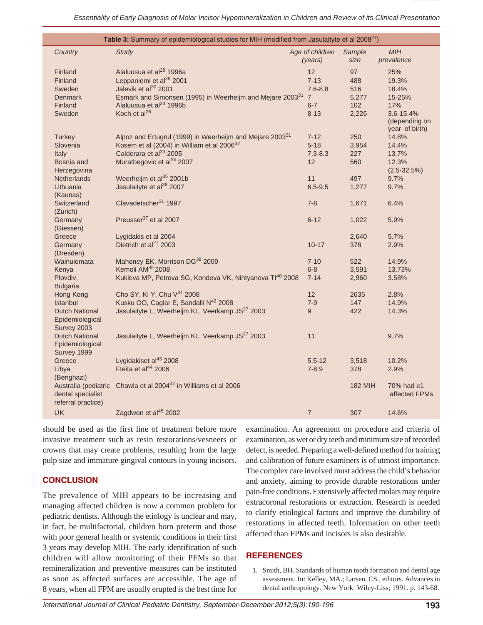| Table 3: Summary of epidemiological studies for MIH (modified from Jasulaityte et al 2008 <sup>27</sup> ) |                                                                             |                 |                |                                              |  |  |
|-----------------------------------------------------------------------------------------------------------|-----------------------------------------------------------------------------|-----------------|----------------|----------------------------------------------|--|--|
| Country                                                                                                   | <b>Study</b>                                                                | Age of children | Sample         | <b>MIH</b>                                   |  |  |
|                                                                                                           |                                                                             | (years)         | size           | prevalence                                   |  |  |
| Finland                                                                                                   | Alaluusua et al <sup>28</sup> 1996a                                         | 12              | 97             | 25%                                          |  |  |
| Finland                                                                                                   | Leppaniemi et al <sup>29</sup> 2001                                         | $7 - 13$        | 488            | 19.3%                                        |  |  |
| Sweden                                                                                                    | Jalevik et al <sup>30</sup> 2001                                            | $7.6 - 8.8$     | 516            | 18.4%                                        |  |  |
| <b>Denmark</b>                                                                                            | Esmark and Simonsen (1995) in Weerheijm and Mejare 2003 <sup>31</sup>       | $\overline{7}$  | 5,277          | 15-25%                                       |  |  |
| Finland                                                                                                   | Alaluusua et al <sup>23</sup> 1996b                                         | $6 - 7$         | 102            | 17%                                          |  |  |
| Sweden                                                                                                    | Koch et al <sup>26</sup>                                                    | $8 - 13$        | 2,226          | 3.6-15.4%<br>(depending on<br>year of birth) |  |  |
| <b>Turkey</b>                                                                                             | Alpoz and Ertugrul (1999) in Weerheijm and Mejare 2003 <sup>31</sup>        | $7 - 12$        | 250            | 14.8%                                        |  |  |
| Slovenia                                                                                                  | Kosem et al (2004) in William et al 2006 <sup>32</sup>                      | $5 - 18$        | 3,954          | 14.4%                                        |  |  |
| <b>Italy</b>                                                                                              | Calderara et al <sup>33</sup> 2005                                          | $7.3 - 8.3$     | 227            | 13.7%                                        |  |  |
| Bosnia and                                                                                                | Muratbegovic et al <sup>34</sup> 2007                                       | 12              | 560            | 12.3%                                        |  |  |
| Herzegovina                                                                                               |                                                                             |                 |                | $(2.5 - 32.5%)$                              |  |  |
| <b>Netherlands</b>                                                                                        | Weerheijm et al <sup>35</sup> 2001b                                         | 11              | 497            | 9.7%                                         |  |  |
| Lithuania                                                                                                 | Jasulaityte et al <sup>36</sup> 2007                                        | $6.5 - 9.5$     | 1,277          | 9.7%                                         |  |  |
| (Kaunas)                                                                                                  |                                                                             |                 |                |                                              |  |  |
| Switzerland                                                                                               | Clavadetscher <sup>31</sup> 1997                                            | $7 - 8$         | 1,671          | 6.4%                                         |  |  |
| (Zurich)                                                                                                  |                                                                             |                 |                |                                              |  |  |
| Germany                                                                                                   | Preusser <sup>37</sup> et al 2007                                           | $6 - 12$        | 1,022          | 5.9%                                         |  |  |
| (Giessen)                                                                                                 | Lygidakis et al 2004                                                        |                 | 2,640          | 5.7%                                         |  |  |
| Greece                                                                                                    | Dietrich et al <sup>27</sup> 2003                                           | $10 - 17$       | 378            | 2.9%                                         |  |  |
| Germany<br>(Dresden)                                                                                      |                                                                             |                 |                |                                              |  |  |
| Wainuiomata                                                                                               | Mahoney EK, Morrison DG <sup>38</sup> 2009                                  | $7 - 10$        | 522            | 14.9%                                        |  |  |
| Kenya                                                                                                     | Kemoli AM39 2008                                                            | $6 - 8$         | 3,591          | 13.73%                                       |  |  |
| Plovdiv,                                                                                                  | Kukleva MP, Petrova SG, Kondeva VK, Nihtyanova Tl <sup>40</sup> 2008        | $7 - 14$        | 2,960          | 3.58%                                        |  |  |
| <b>Bulgaria</b>                                                                                           |                                                                             |                 |                |                                              |  |  |
| Hong Kong                                                                                                 | Cho SY, Ki Y, Chu V41 2008                                                  | 12              | 2635           | 2.8%                                         |  |  |
| Istanbul                                                                                                  | Kusku OO, Caglar E, Sandalli N42 2008                                       | $7-9$           | 147            | 14.9%                                        |  |  |
| <b>Dutch National</b>                                                                                     | Jasulaityte L, Weerheijm KL, Veerkamp JS <sup>27</sup> 2003                 | 9               | 422            | 14.3%                                        |  |  |
| Epidemiological                                                                                           |                                                                             |                 |                |                                              |  |  |
| Survey 2003                                                                                               |                                                                             |                 |                |                                              |  |  |
| <b>Dutch National</b>                                                                                     | Jasulaityte L, Weerheijm KL, Veerkamp JS <sup>27</sup> 2003                 | 11              |                | 9.7%                                         |  |  |
| Epidemiological                                                                                           |                                                                             |                 |                |                                              |  |  |
| Survey 1999                                                                                               |                                                                             |                 |                |                                              |  |  |
| Greece                                                                                                    | Lygidakiset al <sup>43</sup> 2008                                           | $5.5 - 12$      | 3,518          | 10.2%                                        |  |  |
| Libya                                                                                                     | Fteita et al <sup>44</sup> 2006                                             | $7 - 8.9$       | 378            | 2.9%                                         |  |  |
| (Benghazi)                                                                                                |                                                                             |                 |                |                                              |  |  |
|                                                                                                           | Australia (pediatric Chawla et al 2004 <sup>32</sup> in Williams et al 2006 |                 | <b>182 MIH</b> | 70% had ≥1                                   |  |  |
| dental specialist                                                                                         |                                                                             |                 |                | affected FPMs                                |  |  |
| referral practice)                                                                                        |                                                                             |                 |                |                                              |  |  |
| <b>UK</b>                                                                                                 | Zagdwon et al <sup>45</sup> 2002                                            | $\overline{7}$  | 307            | 14.6%                                        |  |  |

should be used as the first line of treatment before more invasive treatment such as resin restorations/vesneers or crowns that may create problems, resulting from the large pulp size and immature gingival contours in young incisors.

#### **CONCLUSION**

The prevalence of MIH appears to be increasing and managing affected children is now a common problem for pediatric dentists. Although the etiology is unclear and may, in fact, be multifactorial, children born preterm and those with poor general health or systemic conditions in their first 3 years may develop MIH. The early identification of such children will allow monitoring of their PFMs so that remineralization and preventive measures can be instituted as soon as affected surfaces are accessible. The age of 8 years, when all FPM are usually erupted is the best time for examination. An agreement on procedure and criteria of examination, as wet or dry teeth and minimum size of recorded defect, is needed. Preparing a well-defined method for training and calibration of future examiners is of utmost importance. The complex care involved must address the child's behavior and anxiety, aiming to provide durable restorations under pain-free conditions. Extensively affected molars may require extracoronal restorations or extraction. Research is needed to clarify etiological factors and improve the durability of restorations in affected teeth. Information on other teeth affected than FPMs and incisors is also desirable.

#### **REFERENCES**

1. Smith, BH. Standards of human tooth formation and dental age assessment. In: Kelley, MA.; Larsen, CS., editors. Advances in dental anthropology. New York: Wiley-Liss; 1991. p. 143-68.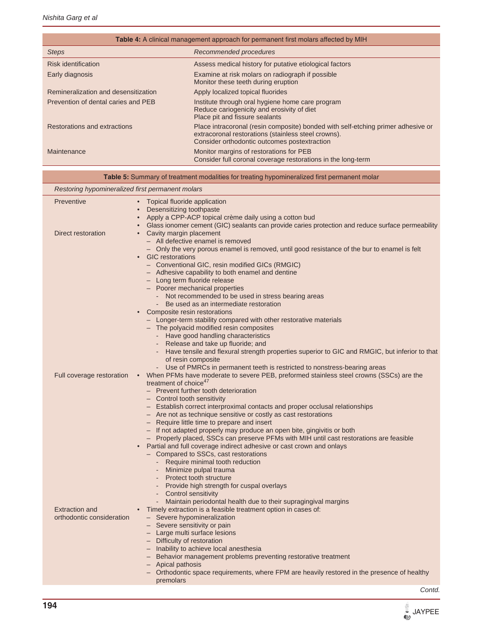| <b>Table 4:</b> A clinical management approach for permanent first molars affected by MIH |                                                                                                                                                                                         |  |  |  |  |
|-------------------------------------------------------------------------------------------|-----------------------------------------------------------------------------------------------------------------------------------------------------------------------------------------|--|--|--|--|
| <b>Steps</b>                                                                              | Recommended procedures                                                                                                                                                                  |  |  |  |  |
| <b>Risk identification</b>                                                                | Assess medical history for putative etiological factors                                                                                                                                 |  |  |  |  |
| Early diagnosis                                                                           | Examine at risk molars on radiograph if possible<br>Monitor these teeth during eruption                                                                                                 |  |  |  |  |
| Remineralization and desensitization                                                      | Apply localized topical fluorides                                                                                                                                                       |  |  |  |  |
| Prevention of dental caries and PEB                                                       | Institute through oral hygiene home care program<br>Reduce cariogenicity and erosivity of diet<br>Place pit and fissure sealants                                                        |  |  |  |  |
| Restorations and extractions                                                              | Place intracoronal (resin composite) bonded with self-etching primer adhesive or<br>extracoronal restorations (stainless steel crowns).<br>Consider orthodontic outcomes postextraction |  |  |  |  |
| Maintenance                                                                               | Monitor margins of restorations for PEB<br>Consider full coronal coverage restorations in the long-term                                                                                 |  |  |  |  |

| <b>Table 5:</b> Summary of treatment modalities for treating hypomineralized first permanent molar |                                                                                                                                                                                                                                                                                                                                                                                                                                                                                                                                                                                                                                                                                                                                                            |  |  |  |
|----------------------------------------------------------------------------------------------------|------------------------------------------------------------------------------------------------------------------------------------------------------------------------------------------------------------------------------------------------------------------------------------------------------------------------------------------------------------------------------------------------------------------------------------------------------------------------------------------------------------------------------------------------------------------------------------------------------------------------------------------------------------------------------------------------------------------------------------------------------------|--|--|--|
| Restoring hypomineralized first permanent molars                                                   |                                                                                                                                                                                                                                                                                                                                                                                                                                                                                                                                                                                                                                                                                                                                                            |  |  |  |
| Preventive                                                                                         | • Topical fluoride application<br>• Desensitizing toothpaste<br>• Apply a CPP-ACP topical crème daily using a cotton bud<br>• Glass ionomer cement (GIC) sealants can provide caries protection and reduce surface permeability                                                                                                                                                                                                                                                                                                                                                                                                                                                                                                                            |  |  |  |
| Direct restoration                                                                                 | • Cavity margin placement<br>- All defective enamel is removed<br>- Only the very porous enamel is removed, until good resistance of the bur to enamel is felt<br>• GIC restorations<br>- Conventional GIC, resin modified GICs (RMGIC)<br>- Adhesive capability to both enamel and dentine<br>- Long term fluoride release<br>- Poorer mechanical properties<br>- Not recommended to be used in stress bearing areas<br>- Be used as an intermediate restoration<br>Composite resin restorations<br>- Longer-term stability compared with other restorative materials<br>- The polyacid modified resin composites<br>- Have good handling characteristics                                                                                                 |  |  |  |
|                                                                                                    | - Release and take up fluoride; and<br>- Have tensile and flexural strength properties superior to GIC and RMGIC, but inferior to that<br>of resin composite<br>- Use of PMRCs in permanent teeth is restricted to nonstress-bearing areas                                                                                                                                                                                                                                                                                                                                                                                                                                                                                                                 |  |  |  |
| Full coverage restoration                                                                          | When PFMs have moderate to severe PEB, preformed stainless steel crowns (SSCs) are the<br>$\bullet$<br>treatment of choice <sup>47</sup><br>- Prevent further tooth deterioration<br>- Control tooth sensitivity<br>- Establish correct interproximal contacts and proper occlusal relationships<br>- Are not as technique sensitive or costly as cast restorations<br>- Require little time to prepare and insert<br>- If not adapted properly may produce an open bite, gingivitis or both<br>- Properly placed, SSCs can preserve PFMs with MIH until cast restorations are feasible<br>Partial and full coverage indirect adhesive or cast crown and onlays<br>$\bullet$<br>- Compared to SSCs, cast restorations<br>- Require minimal tooth reduction |  |  |  |
| <b>Extraction and</b><br>orthodontic consideration                                                 | - Minimize pulpal trauma<br>- Protect tooth structure<br>- Provide high strength for cuspal overlays<br>- Control sensitivity<br>Maintain periodontal health due to their supragingival margins<br>Timely extraction is a feasible treatment option in cases of:<br>$\bullet$<br>- Severe hypomineralization<br>- Severe sensitivity or pain<br>- Large multi surface lesions<br>- Difficulty of restoration<br>- Inability to achieve local anesthesia                                                                                                                                                                                                                                                                                                    |  |  |  |
|                                                                                                    | - Behavior management problems preventing restorative treatment<br>- Apical pathosis<br>Orthodontic space requirements, where FPM are heavily restored in the presence of healthy<br>premolars                                                                                                                                                                                                                                                                                                                                                                                                                                                                                                                                                             |  |  |  |

*Contd.*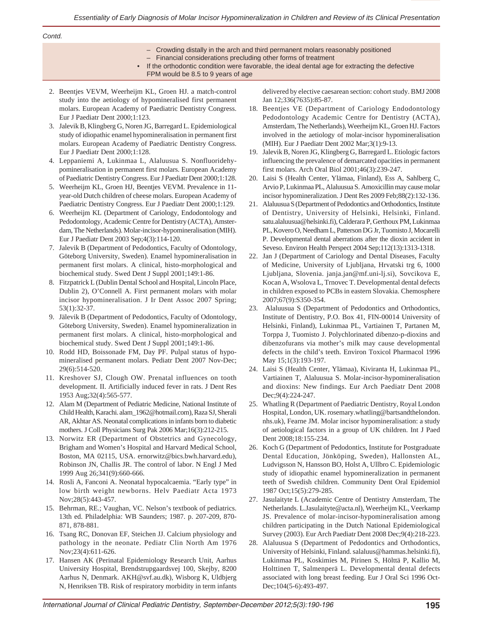#### *Contd.*

- Crowding distally in the arch and third permanent molars reasonably positioned
	- Financial considerations precluding other forms of treatment
- If the orthodontic condition were favorable, the ideal dental age for extracting the defective FPM would be 8.5 to 9 years of age
- 2. Beentjes VEVM, Weerheijm KL, Groen HJ. a match-control study into the aetiology of hypomineralised first permanent molars. European Academy of Paediatric Dentistry Congress. Eur J Paediatr Dent 2000;1:123.
- 3. Jalevik B, Klingberg G, Noren JG, Barregard L. Epidemiological study of idiopathic enamel hypomineralisation in permanent first molars. European Academy of Paediatric Dentistry Congress. Eur J Paediatr Dent 2000;1:128.
- 4. Leppaniemi A, Lukinmaa L, Alaluusua S. Nonfluoridehypomineralisation in permanent first molars. European Academy of Paediatric Dentistry Congress. Eur J Paediatr Dent 2000;1:128.
- 5. Weerheijm KL, Groen HJ, Beentjes VEVM. Prevalence in 11 year-old Dutch children of cheese molars. European Academy of Paediatric Dentistry Congress. Eur J Paediatr Dent 2000;1:129.
- 6. Weerheijm KL (Department of Cariology, Endodontology and Pedodontology, Academic Centre for Dentistry (ACTA), Amsterdam, The Netherlands). Molar-incisor-hypomineralisation (MIH). Eur J Paediatr Dent 2003 Sep;4(3):114-120.
- 7. Jalevik B (Department of Pedodontics, Faculty of Odontology, Göteborg University, Sweden). Enamel hypomineralisation in permanent first molars. A clinical, histo-morphological and biochemical study. Swed Dent J Suppl 2001;149:1-86.
- 8. Fitzpatrick L (Dublin Dental School and Hospital, Lincoln Place, Dublin 2), O'Connell A. First permanent molars with molar incisor hypomineralisation. J Ir Dent Assoc 2007 Spring; 53(1):32-37.
- 9. Jälevik B (Department of Pedodontics, Faculty of Odontology, Göteborg University, Sweden). Enamel hypomineralization in permanent first molars. A clinical, histo-morphological and biochemical study. Swed Dent J Suppl 2001;149:1-86.
- 10. Rodd HD, Boissonade FM, Day PF. Pulpal status of hypomineralised permanent molars. Pediatr Dent 2007 Nov-Dec; 29(6):514-520.
- 11. Kreshover SJ, Clough OW. Prenatal influences on tooth development. II. Artificially induced fever in rats. J Dent Res 1953 Aug;32(4):565-577.
- 12. Alam M (Department of Pediatric Medicine, National Institute of Child Health, Karachi. alam\_1962@hotmail.com), Raza SJ, Sherali AR, Akhtar AS. Neonatal complications in infants born to diabetic mothers. J Coll Physicians Surg Pak 2006 Mar;16(3):212-215.
- 13. Norwitz ER (Department of Obstetrics and Gynecology, Brigham and Women's Hospital and Harvard Medical School, Boston, MA 02115, USA. ernorwitz@bics.bwh.harvard.edu), Robinson JN, Challis JR. The control of labor. N Engl J Med 1999 Aug 26;341(9):660-666.
- 14. Rosli A, Fanconi A. Neonatal hypocalcaemia. "Early type" in low birth weight newborns. Helv Paediatr Acta 1973 Nov;28(5):443-457.
- 15. Behrman, RE.; Vaughan, VC. Nelson's textbook of pediatrics. 13th ed. Philadelphia: WB Saunders; 1987. p. 207-209, 870- 871, 878-881.
- 16. Tsang RC, Donovan EF, Steichen JJ. Calcium physiology and pathology in the neonate. Pediatr Clin North Am 1976 Nov;23(4):611-626.
- 17. Hansen AK (Perinatal Epidemiology Research Unit, Aarhus University Hospital, Brendstrupgaardsvej 100, Skejby, 8200 Aarhus N, Denmark. AKH@svf.au.dk), Wisborg K, Uldbjerg N, Henriksen TB. Risk of respiratory morbidity in term infants

delivered by elective caesarean section: cohort study. BMJ 2008 Jan 12;336(7635):85-87.

- 18. Beentjes VE (Department of Cariology Endodontology Pedodontology Academic Centre for Dentistry (ACTA), Amsterdam, The Netherlands), Weerheijm KL, Groen HJ. Factors involved in the aetiology of molar-incisor hypomineralisation (MIH). Eur J Paediatr Dent 2002 Mar;3(1):9-13.
- 19. Jalevik B, Noren JG, Klingberg G, Barregard L. Etiologic factors influencing the prevalence of demarcated opacities in permanent first molars. Arch Oral Biol 2001;46(3):239-247.
- 20. Laisi S (Health Center, Ylämaa, Finland), Ess A, Sahlberg C, Arvio P, Lukinmaa PL, Alaluusua S. Amoxicillin may cause molar incisor hypomineralization. J Dent Res 2009 Feb;88(2):132-136.
- 21. Alaluusua S (Department of Pedodontics and Orthodontics, Institute of Dentistry, University of Helsinki, Helsinki, Finland. satu.alaluusua@helsinki.fi), Calderara P, Gerthoux PM, Lukinmaa PL, Kovero O, Needham L, Patterson DG Jr, Tuomisto J, Mocarelli P. Developmental dental aberrations after the dioxin accident in Seveso. Environ Health Perspect 2004 Sep;112(13):1313-1318.
- 22. Jan J (Department of Cariology and Dental Diseases, Faculty of Medicine, University of Ljubljana, Hrvatski trg 6, 1000 Ljubljana, Slovenia. janja.jan@mf.uni-lj.si), Sovcikova E, Kocan A, Wsolova L, Trnovec T. Developmental dental defects in children exposed to PCBs in eastern Slovakia. Chemosphere 2007;67(9):S350-354.
- 23. Alaluusua S (Department of Pedodontics and Orthodontics, Institute of Dentistry, P.O. Box 41, FIN-00014 University of Helsinki, Finland), Lukinmaa PL, Vartiainen T, Partanen M, Torppa J, Tuomisto J. Polychlorinated dibenzo-p-dioxins and dibenzofurans via mother's milk may cause developmental defects in the child's teeth. Environ Toxicol Pharmacol 1996 May 15;1(3):193-197.
- 24. Laisi S (Health Center, Ylämaa), Kiviranta H, Lukinmaa PL, Vartiainen T, Alaluusua S. Molar-incisor-hypomineralisation and dioxins: New findings. Eur Arch Paediatr Dent 2008 Dec;9(4):224-247.
- 25. Whatling R (Department of Paediatric Dentistry, Royal London Hospital, London, UK. rosemary.whatling@bartsandthelondon. nhs.uk), Fearne JM. Molar incisor hypomineralisation: a study of aetiological factors in a group of UK children. Int J Paed Dent 2008;18:155-234.
- 26. Koch G (Department of Pedodontics, Institute for Postgraduate Dental Education, Jönköping, Sweden), Hallonsten AL, Ludvigsson N, Hansson BO, Holst A, Ullbro C. Epidemiologic study of idiopathic enamel hypomineralization in permanent teeth of Swedish children. Community Dent Oral Epidemiol 1987 Oct;15(5):279-285.
- 27. Jasulaityte L (Academic Centre of Dentistry Amsterdam, The Netherlands. L.Jasulaityte@acta.nl), Weerheijm KL, Veerkamp JS. Prevalence of molar-incisor-hypomineralisation among children participating in the Dutch National Epidemiological Survey (2003). Eur Arch Paediatr Dent 2008 Dec;9(4):218-223.
- 28. Alaluusua S (Department of Pedodontics and Orthodontics, University of Helsinki, Finland. salaluus@hammas.helsinki.fi), Lukinmaa PL, Koskimies M, Pirinen S, Hölttä P, Kallio M, Holttinen T, Salmenperä L. Developmental dental defects associated with long breast feeding. Eur J Oral Sci 1996 Oct-Dec;104(5-6):493-497.